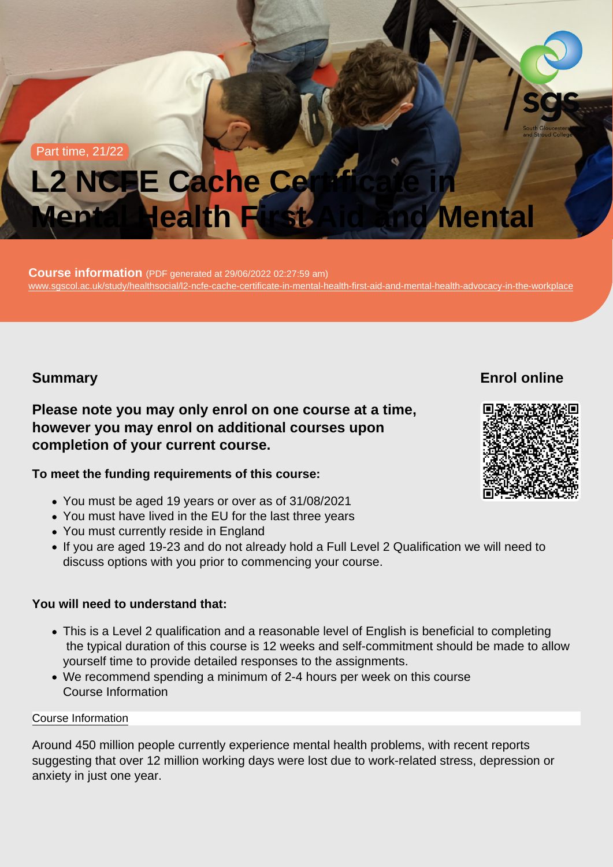#### Part time, 21/22

# L2 NCFE Cache Certificate in Mental Health First Aid and Mental

LOUISE INIONNATION (PDF generated at 29/06/2022 02:27:59 am)<br>www.execel.com/durbillications/althonois/00 and accepts and Wental Health Advisions and mental health advocacy in the c [www.sgscol.ac.uk/study/healthsocial/l2-ncfe-cache-certificate-in-mental-health-first-aid-and-mental-health-advocacy-in-the-workplace](https://www.sgscol.ac.uk/study/healthsocial/l2-ncfe-cache-certificate-in-mental-health-first-aid-and-mental-health-advocacy-in-the-workplace)<br>-Course information (PDF generated at 29/06/2022 02:27:59 am)

## Summary

Enrol online

Please note you may only enrol on one course at a time, however you may enrol on additional courses upon completion of your current course.

To meet the funding requirements of this course:

- You must be aged 19 years or over as of 31/08/2021
- You must have lived in the EU for the last three years
- You must currently reside in England
- If you are aged 19-23 and do not already hold a Full Level 2 Qualification we will need to discuss options with you prior to commencing your course.

You will need to understand that:

- This is a Level 2 qualification and a reasonable level of English is beneficial to completing the typical duration of this course is 12 weeks and self-commitment should be made to allow yourself time to provide detailed responses to the assignments.
- We recommend spending a minimum of 2-4 hours per week on this course Course Information

#### Course Information

Around 450 million people currently experience mental health problems, with recent reports suggesting that over 12 million working days were lost due to work-related stress, depression or anxiety in just one year.